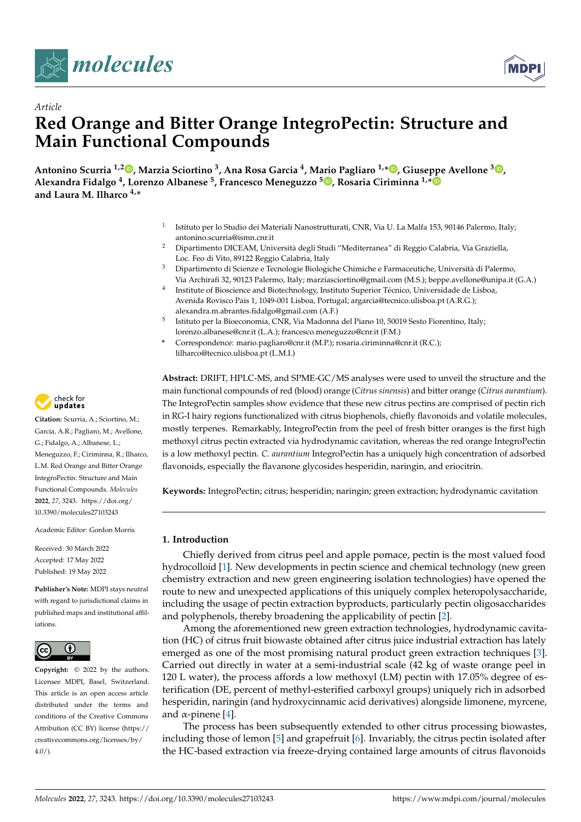



# *Article* **Red Orange and Bitter Orange IntegroPectin: Structure and Main Functional Compounds**

**Antonino Scurria 1,2 [,](https://orcid.org/0000-0001-5624-6833) Marzia Sciortino <sup>3</sup> , Ana Rosa Garcia <sup>4</sup> , Mario Pagliaro 1,\* [,](https://orcid.org/0000-0002-5096-329X) Giuseppe Avellone <sup>3</sup> [,](https://orcid.org/0000-0002-4539-6059) Alexandra Fidalgo <sup>4</sup> , Lorenzo Albanese <sup>5</sup> , Francesco Meneguzzo <sup>5</sup> [,](https://orcid.org/0000-0002-5952-9166) Rosaria Ciriminna 1,[\\*](https://orcid.org/0000-0001-6596-1572) and Laura M. Ilharco 4,\***

- 1 Istituto per lo Studio dei Materiali Nanostrutturati, CNR, Via U. La Malfa 153, 90146 Palermo, Italy; antonino.scurria@ismn.cnr.it
- <sup>2</sup> Dipartimento DICEAM, Università degli Studi "Mediterranea" di Reggio Calabria, Via Graziella, Loc. Feo di Vito, 89122 Reggio Calabria, Italy
- <sup>3</sup> Dipartimento di Scienze e Tecnologie Biologiche Chimiche e Farmaceutiche, Università di Palermo, Via Archirafi 32, 90123 Palermo, Italy; marziasciortino@gmail.com (M.S.); beppe.avellone@unipa.it (G.A.)
- 4 Institute of Bioscience and Biotechnology, Instituto Superior Técnico, Universidade de Lisboa, Avenida Rovisco Pais 1, 1049-001 Lisboa, Portugal; argarcia@tecnico.ulisboa.pt (A.R.G.); alexandra.m.abrantes.fidalgo@gmail.com (A.F.)
- 5 Istituto per la Bioeconomia, CNR, Via Madonna del Piano 10, 50019 Sesto Fiorentino, Italy; lorenzo.albanese@cnr.it (L.A.); francesco.meneguzzo@cnr.it (F.M.)
- **\*** Correspondence: mario.pagliaro@cnr.it (M.P.); rosaria.ciriminna@cnr.it (R.C.); lilharco@tecnico.ulisboa.pt (L.M.I.)

**Abstract:** DRIFT, HPLC-MS, and SPME-GC/MS analyses were used to unveil the structure and the main functional compounds of red (blood) orange (*Citrus sinensis*) and bitter orange (*Citrus aurantium*). The IntegroPectin samples show evidence that these new citrus pectins are comprised of pectin rich in RG-I hairy regions functionalized with citrus biophenols, chiefly flavonoids and volatile molecules, mostly terpenes. Remarkably, IntegroPectin from the peel of fresh bitter oranges is the first high methoxyl citrus pectin extracted via hydrodynamic cavitation, whereas the red orange IntegroPectin is a low methoxyl pectin. *C. aurantium* IntegroPectin has a uniquely high concentration of adsorbed flavonoids, especially the flavanone glycosides hesperidin, naringin, and eriocitrin.

**Keywords:** IntegroPectin; citrus; hesperidin; naringin; green extraction; hydrodynamic cavitation

## **1. Introduction**

Chiefly derived from citrus peel and apple pomace, pectin is the most valued food hydrocolloid [\[1\]](#page-9-0). New developments in pectin science and chemical technology (new green chemistry extraction and new green engineering isolation technologies) have opened the route to new and unexpected applications of this uniquely complex heteropolysaccharide, including the usage of pectin extraction byproducts, particularly pectin oligosaccharides and polyphenols, thereby broadening the applicability of pectin [\[2\]](#page-9-1).

Among the aforementioned new green extraction technologies, hydrodynamic cavitation (HC) of citrus fruit biowaste obtained after citrus juice industrial extraction has lately emerged as one of the most promising natural product green extraction techniques [\[3\]](#page-9-2). Carried out directly in water at a semi-industrial scale (42 kg of waste orange peel in 120 L water), the process affords a low methoxyl (LM) pectin with 17.05% degree of esterification (DE, percent of methyl-esterified carboxyl groups) uniquely rich in adsorbed hesperidin, naringin (and hydroxycinnamic acid derivatives) alongside limonene, myrcene, and α-pinene [\[4\]](#page-9-3).

The process has been subsequently extended to other citrus processing biowastes, including those of lemon [\[5\]](#page-9-4) and grapefruit [\[6\]](#page-9-5). Invariably, the citrus pectin isolated after the HC-based extraction via freeze-drying contained large amounts of citrus flavonoids



**Citation:** Scurria, A.; Sciortino, M.; Garcia, A.R.; Pagliaro, M.; Avellone, G.; Fidalgo, A.; Albanese, L.; Meneguzzo, F.; Ciriminna, R.; Ilharco, L.M. Red Orange and Bitter Orange IntegroPectin: Structure and Main Functional Compounds. *Molecules* **2022**, *27*, 3243. [https://doi.org/](https://doi.org/10.3390/molecules27103243) [10.3390/molecules27103243](https://doi.org/10.3390/molecules27103243)

Academic Editor: Gordon Morris

Received: 30 March 2022 Accepted: 17 May 2022 Published: 19 May 2022

**Publisher's Note:** MDPI stays neutral with regard to jurisdictional claims in published maps and institutional affiliations.



**Copyright:** © 2022 by the authors. Licensee MDPI, Basel, Switzerland. This article is an open access article distributed under the terms and conditions of the Creative Commons Attribution (CC BY) license [\(https://](https://creativecommons.org/licenses/by/4.0/) [creativecommons.org/licenses/by/](https://creativecommons.org/licenses/by/4.0/)  $4.0/$ ).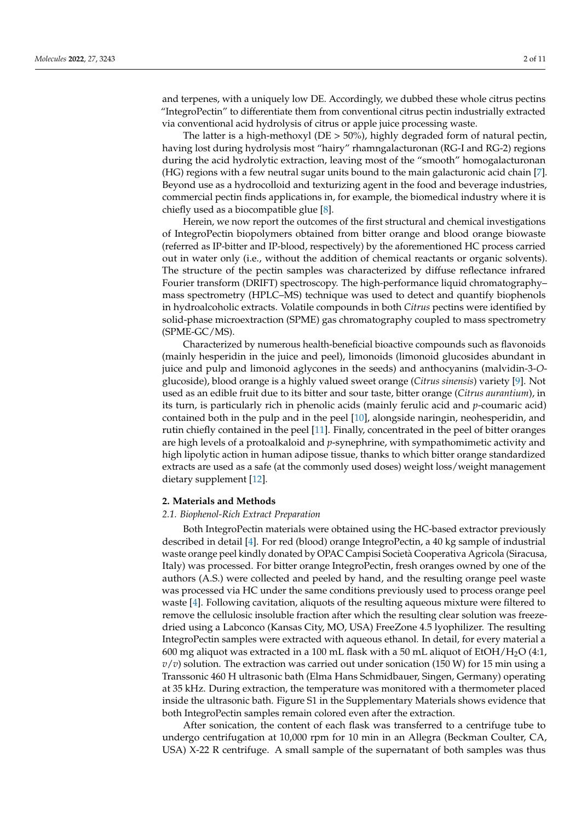and terpenes, with a uniquely low DE. Accordingly, we dubbed these whole citrus pectins "IntegroPectin" to differentiate them from conventional citrus pectin industrially extracted via conventional acid hydrolysis of citrus or apple juice processing waste.

The latter is a high-methoxyl ( $DE > 50\%$ ), highly degraded form of natural pectin, having lost during hydrolysis most "hairy" rhamngalacturonan (RG-I and RG-2) regions during the acid hydrolytic extraction, leaving most of the "smooth" homogalacturonan (HG) regions with a few neutral sugar units bound to the main galacturonic acid chain [\[7\]](#page-9-6). Beyond use as a hydrocolloid and texturizing agent in the food and beverage industries, commercial pectin finds applications in, for example, the biomedical industry where it is chiefly used as a biocompatible glue [\[8\]](#page-9-7).

Herein, we now report the outcomes of the first structural and chemical investigations of IntegroPectin biopolymers obtained from bitter orange and blood orange biowaste (referred as IP-bitter and IP-blood, respectively) by the aforementioned HC process carried out in water only (i.e., without the addition of chemical reactants or organic solvents). The structure of the pectin samples was characterized by diffuse reflectance infrared Fourier transform (DRIFT) spectroscopy. The high-performance liquid chromatography– mass spectrometry (HPLC–MS) technique was used to detect and quantify biophenols in hydroalcoholic extracts. Volatile compounds in both *Citrus* pectins were identified by solid-phase microextraction (SPME) gas chromatography coupled to mass spectrometry (SPME-GC/MS).

Characterized by numerous health-beneficial bioactive compounds such as flavonoids (mainly hesperidin in the juice and peel), limonoids (limonoid glucosides abundant in juice and pulp and limonoid aglycones in the seeds) and anthocyanins (malvidin-3-*O*glucoside), blood orange is a highly valued sweet orange (*Citrus sinensis*) variety [\[9\]](#page-9-8). Not used as an edible fruit due to its bitter and sour taste, bitter orange (*Citrus aurantium*), in its turn, is particularly rich in phenolic acids (mainly ferulic acid and *p*-coumaric acid) contained both in the pulp and in the peel [\[10\]](#page-9-9), alongside naringin, neohesperidin, and rutin chiefly contained in the peel [\[11\]](#page-9-10). Finally, concentrated in the peel of bitter oranges are high levels of a protoalkaloid and *p*-synephrine, with sympathomimetic activity and high lipolytic action in human adipose tissue, thanks to which bitter orange standardized extracts are used as a safe (at the commonly used doses) weight loss/weight management dietary supplement [\[12\]](#page-9-11).

#### **2. Materials and Methods**

#### *2.1. Biophenol-Rich Extract Preparation*

Both IntegroPectin materials were obtained using the HC-based extractor previously described in detail [\[4\]](#page-9-3). For red (blood) orange IntegroPectin, a 40 kg sample of industrial waste orange peel kindly donated by OPAC Campisi Società Cooperativa Agricola (Siracusa, Italy) was processed. For bitter orange IntegroPectin, fresh oranges owned by one of the authors (A.S.) were collected and peeled by hand, and the resulting orange peel waste was processed via HC under the same conditions previously used to process orange peel waste [\[4\]](#page-9-3). Following cavitation, aliquots of the resulting aqueous mixture were filtered to remove the cellulosic insoluble fraction after which the resulting clear solution was freezedried using a Labconco (Kansas City, MO, USA) FreeZone 4.5 lyophilizer. The resulting IntegroPectin samples were extracted with aqueous ethanol. In detail, for every material a 600 mg aliquot was extracted in a 100 mL flask with a 50 mL aliquot of EtOH/H<sub>2</sub>O (4:1, *v*/*v*) solution. The extraction was carried out under sonication (150 W) for 15 min using a Transsonic 460 H ultrasonic bath (Elma Hans Schmidbauer, Singen, Germany) operating at 35 kHz. During extraction, the temperature was monitored with a thermometer placed inside the ultrasonic bath. Figure S1 in the Supplementary Materials shows evidence that both IntegroPectin samples remain colored even after the extraction.

After sonication, the content of each flask was transferred to a centrifuge tube to undergo centrifugation at 10,000 rpm for 10 min in an Allegra (Beckman Coulter, CA, USA) X-22 R centrifuge. A small sample of the supernatant of both samples was thus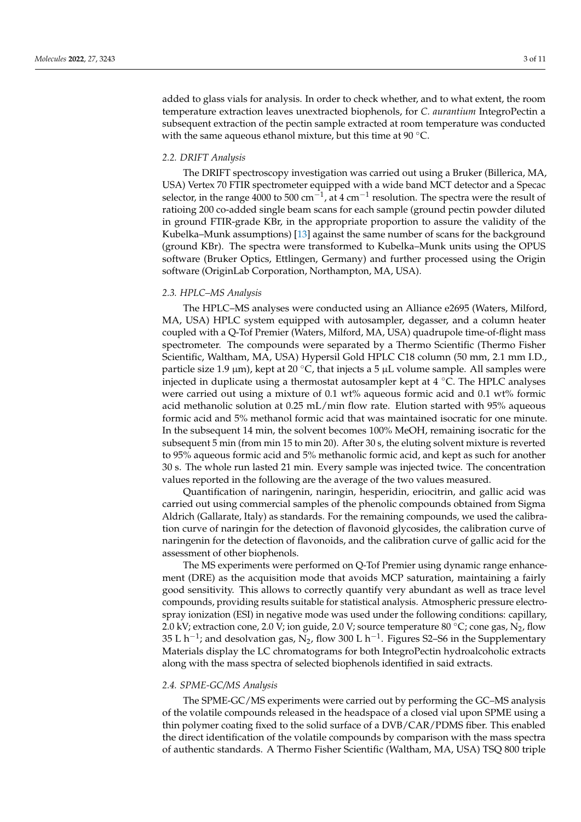added to glass vials for analysis. In order to check whether, and to what extent, the room temperature extraction leaves unextracted biophenols, for *C. aurantium* IntegroPectin a subsequent extraction of the pectin sample extracted at room temperature was conducted with the same aqueous ethanol mixture, but this time at 90 °C.

### *2.2. DRIFT Analysis*

The DRIFT spectroscopy investigation was carried out using a Bruker (Billerica, MA, USA) Vertex 70 FTIR spectrometer equipped with a wide band MCT detector and a Specac selector, in the range  $4000$  to  $500$  cm $^{-1}$ , at  $4$  cm $^{-1}$  resolution. The spectra were the result of ratioing 200 co-added single beam scans for each sample (ground pectin powder diluted in ground FTIR-grade KBr, in the appropriate proportion to assure the validity of the Kubelka–Munk assumptions) [\[13\]](#page-10-0) against the same number of scans for the background (ground KBr). The spectra were transformed to Kubelka–Munk units using the OPUS software (Bruker Optics, Ettlingen, Germany) and further processed using the Origin software (OriginLab Corporation, Northampton, MA, USA).

## *2.3. HPLC–MS Analysis*

The HPLC–MS analyses were conducted using an Alliance e2695 (Waters, Milford, MA, USA) HPLC system equipped with autosampler, degasser, and a column heater coupled with a Q-Tof Premier (Waters, Milford, MA, USA) quadrupole time-of-flight mass spectrometer. The compounds were separated by a Thermo Scientific (Thermo Fisher Scientific, Waltham, MA, USA) Hypersil Gold HPLC C18 column (50 mm, 2.1 mm I.D., particle size 1.9  $\mu$ m), kept at 20 °C, that injects a 5  $\mu$ L volume sample. All samples were injected in duplicate using a thermostat autosampler kept at  $4 °C$ . The HPLC analyses were carried out using a mixture of 0.1 wt% aqueous formic acid and 0.1 wt% formic acid methanolic solution at 0.25 mL/min flow rate. Elution started with 95% aqueous formic acid and 5% methanol formic acid that was maintained isocratic for one minute. In the subsequent 14 min, the solvent becomes 100% MeOH, remaining isocratic for the subsequent 5 min (from min 15 to min 20). After 30 s, the eluting solvent mixture is reverted to 95% aqueous formic acid and 5% methanolic formic acid, and kept as such for another 30 s. The whole run lasted 21 min. Every sample was injected twice. The concentration values reported in the following are the average of the two values measured.

Quantification of naringenin, naringin, hesperidin, eriocitrin, and gallic acid was carried out using commercial samples of the phenolic compounds obtained from Sigma Aldrich (Gallarate, Italy) as standards. For the remaining compounds, we used the calibration curve of naringin for the detection of flavonoid glycosides, the calibration curve of naringenin for the detection of flavonoids, and the calibration curve of gallic acid for the assessment of other biophenols.

The MS experiments were performed on Q-Tof Premier using dynamic range enhancement (DRE) as the acquisition mode that avoids MCP saturation, maintaining a fairly good sensitivity. This allows to correctly quantify very abundant as well as trace level compounds, providing results suitable for statistical analysis. Atmospheric pressure electrospray ionization (ESI) in negative mode was used under the following conditions: capillary, 2.0 kV; extraction cone, 2.0 V; ion guide, 2.0 V; source temperature 80 °C; cone gas, N<sub>2</sub>, flow 35 L h<sup>-1</sup>; and desolvation gas, N<sub>2</sub>, flow 300 L h<sup>-1</sup>. Figures S2–S6 in the Supplementary Materials display the LC chromatograms for both IntegroPectin hydroalcoholic extracts along with the mass spectra of selected biophenols identified in said extracts.

#### *2.4. SPME-GC/MS Analysis*

The SPME-GC/MS experiments were carried out by performing the GC–MS analysis of the volatile compounds released in the headspace of a closed vial upon SPME using a thin polymer coating fixed to the solid surface of a DVB/CAR/PDMS fiber. This enabled the direct identification of the volatile compounds by comparison with the mass spectra of authentic standards. A Thermo Fisher Scientific (Waltham, MA, USA) TSQ 800 triple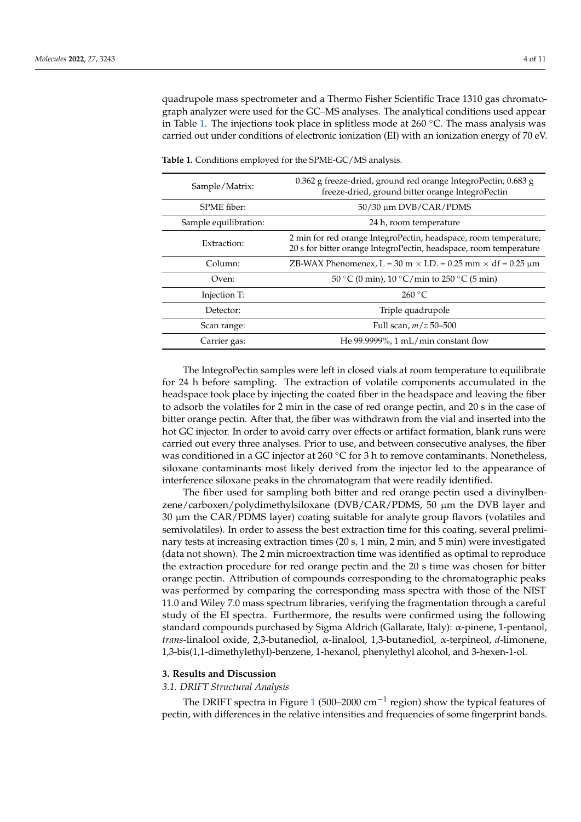quadrupole mass spectrometer and a Thermo Fisher Scientific Trace 1310 gas chromatograph analyzer were used for the GC–MS analyses. The analytical conditions used appear in Table [1.](#page-3-0) The injections took place in splitless mode at 260 °C. The mass analysis was carried out under conditions of electronic ionization (EI) with an ionization energy of 70 eV.

| Sample/Matrix:        | 0.362 g freeze-dried, ground red orange IntegroPectin; 0.683 g<br>freeze-dried, ground bitter orange IntegroPectin                    |
|-----------------------|---------------------------------------------------------------------------------------------------------------------------------------|
| SPME fiber:           | 50/30 µm DVB/CAR/PDMS                                                                                                                 |
| Sample equilibration: | 24 h, room temperature                                                                                                                |
| Extraction:           | 2 min for red orange IntegroPectin, headspace, room temperature;<br>20 s for bitter orange IntegroPectin, headspace, room temperature |
| Column:               | ZB-WAX Phenomenex, L = 30 m $\times$ I.D. = 0.25 mm $\times$ df = 0.25 µm                                                             |
| Oven:                 | 50 °C (0 min), 10 °C/min to 250 °C (5 min)                                                                                            |
| Injection T:          | 260 °C                                                                                                                                |
| Detector:             | Triple quadrupole                                                                                                                     |
| Scan range:           | Full scan, $m/z$ 50–500                                                                                                               |
| Carrier gas:          | He $99.9999\%$ , 1 mL/min constant flow                                                                                               |
|                       |                                                                                                                                       |

<span id="page-3-0"></span>**Table 1.** Conditions employed for the SPME-GC/MS analysis.

The IntegroPectin samples were left in closed vials at room temperature to equilibrate for 24 h before sampling. The extraction of volatile components accumulated in the headspace took place by injecting the coated fiber in the headspace and leaving the fiber to adsorb the volatiles for 2 min in the case of red orange pectin, and 20 s in the case of bitter orange pectin. After that, the fiber was withdrawn from the vial and inserted into the hot GC injector. In order to avoid carry over effects or artifact formation, blank runs were carried out every three analyses. Prior to use, and between consecutive analyses, the fiber was conditioned in a GC injector at 260  $\degree$ C for 3 h to remove contaminants. Nonetheless, siloxane contaminants most likely derived from the injector led to the appearance of interference siloxane peaks in the chromatogram that were readily identified.

The fiber used for sampling both bitter and red orange pectin used a divinylbenzene/carboxen/polydimethylsiloxane (DVB/CAR/PDMS, 50 µm the DVB layer and 30 µm the CAR/PDMS layer) coating suitable for analyte group flavors (volatiles and semivolatiles). In order to assess the best extraction time for this coating, several preliminary tests at increasing extraction times (20 s, 1 min, 2 min, and 5 min) were investigated (data not shown). The 2 min microextraction time was identified as optimal to reproduce the extraction procedure for red orange pectin and the 20 s time was chosen for bitter orange pectin. Attribution of compounds corresponding to the chromatographic peaks was performed by comparing the corresponding mass spectra with those of the NIST 11.0 and Wiley 7.0 mass spectrum libraries, verifying the fragmentation through a careful study of the EI spectra. Furthermore, the results were confirmed using the following standard compounds purchased by Sigma Aldrich (Gallarate, Italy): α-pinene, 1-pentanol, *trans*-linalool oxide, 2,3-butanediol, α-linalool, 1,3-butanediol, α-terpineol, *d*-limonene, 1,3-bis(1,1-dimethylethyl)-benzene, 1-hexanol, phenylethyl alcohol, and 3-hexen-1-ol.

#### **3. Results and Discussion**

## *3.1. DRIFT Structural Analysis*

The DRIFT spectra in Figure [1](#page-4-0) (500–2000 cm<sup>-1</sup> region) show the typical features of pectin, with differences in the relative intensities and frequencies of some fingerprint bands.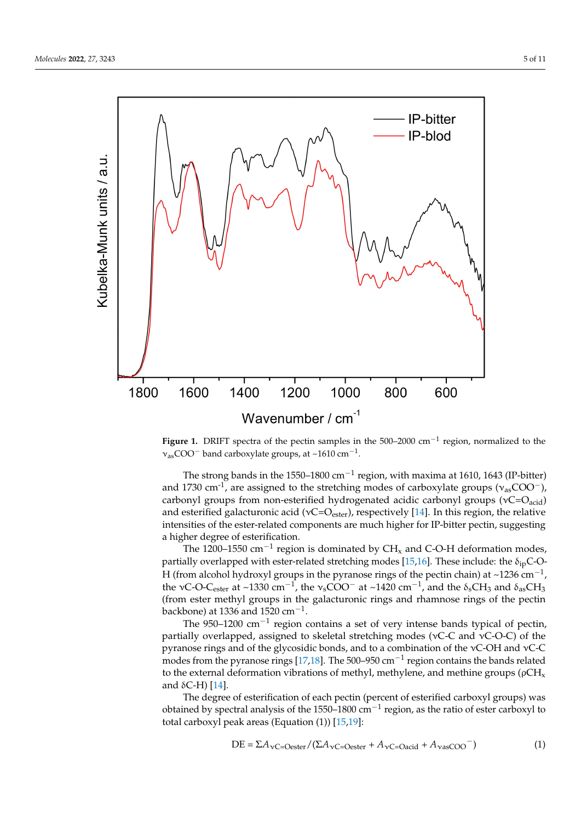<span id="page-4-0"></span>

**Figure 1.** DRIFT spectra of the pectin samples in the 500–2000 cm−<sup>1</sup> region, normalized to the  $v_{\rm as}$ COO<sup>-</sup> band carboxylate groups, at ~1610 cm<sup>-1</sup>.

The strong bands in the 1550–1800 cm $^{-1}$  region, with maxima at 1610, 1643 (IP-bitter) and 1730 cm<sup>-1</sup>, are assigned to the stretching modes of carboxylate groups ( $v_{as}COO^-$ ), carbonyl groups from non-esterified hydrogenated acidic carbonyl groups ( $vC=O<sub>acid</sub>$ ) and esterified galacturonic acid ( $vC = O_{\text{ester}}$ ), respectively [\[14\]](#page-10-1). In this region, the relative intensities of the ester-related components are much higher for IP-bitter pectin, suggesting a higher degree of esterification.

The 1200–1550 cm<sup>-1</sup> region is dominated by CH<sub>x</sub> and C-O-H deformation modes, partially overlapped with ester-related stretching modes [\[15,](#page-10-2)[16\]](#page-10-3). These include: the  $\delta_{\rm in}$ C-O-H (from alcohol hydroxyl groups in the pyranose rings of the pectin chain) at ~1236 cm $^{-1}$ , the νC-O-C<sub>ester</sub> at ~1330 cm<sup>-1</sup>, the  $v_s$ COO<sup>-</sup> at ~1420 cm<sup>-1</sup>, and the δ<sub>s</sub>CH<sub>3</sub> and δ<sub>as</sub>CH<sub>3</sub> (from ester methyl groups in the galacturonic rings and rhamnose rings of the pectin backbone) at 1336 and 1520  $\rm cm^{-1}.$ 

The 950–1200 cm<sup>-1</sup> region contains a set of very intense bands typical of pectin, partially overlapped, assigned to skeletal stretching modes (νC-C and νC-O-C) of the pyranose rings and of the glycosidic bonds, and to a combination of the νC-OH and νC-C modes from the pyranose rings [\[17,](#page-10-4)[18\]](#page-10-5). The 500–950 cm<sup>-1</sup> region contains the bands related to the external deformation vibrations of methyl, methylene, and methine groups ( $\rho$ CH<sub>x</sub>) and  $δ$ C-H) [\[14\]](#page-10-1).

The degree of esterification of each pectin (percent of esterified carboxyl groups) was obtained by spectral analysis of the 1550–1800 cm<sup>-1</sup> region, as the ratio of ester carboxyl to total carboxyl peak areas (Equation (1)) [\[15,](#page-10-2)[19\]](#page-10-6):

$$
DE = \Sigma A_{\nu C=Oester} / (\Sigma A_{\nu C=Oester} + A_{\nu C=Oacid} + A_{\nu asCOO}^{-})
$$
 (1)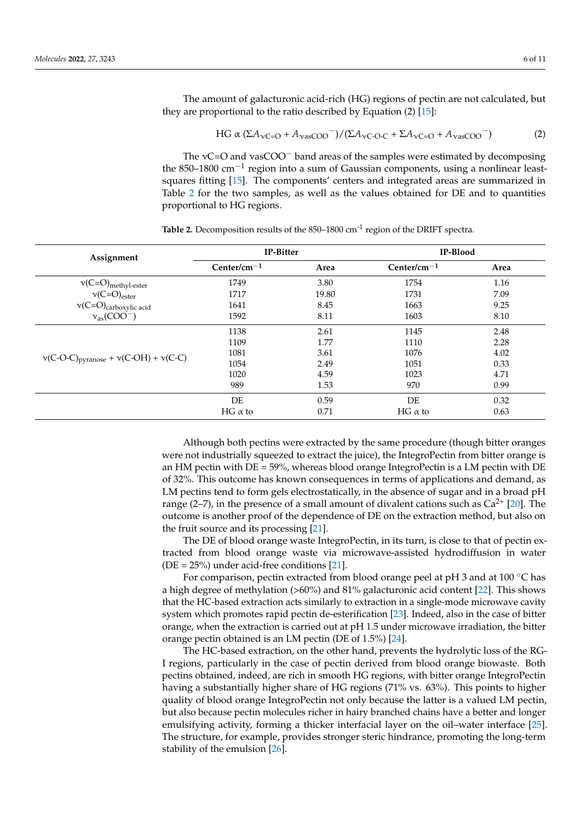The amount of galacturonic acid-rich (HG) regions of pectin are not calculated, but they are proportional to the ratio described by Equation (2) [\[15\]](#page-10-2):

$$
HG \alpha (\Sigma A_{\nu C=O} + A_{\nu a s COO}^-) / (\Sigma A_{\nu C\text{-}O\text{-}C} + \Sigma A_{\nu C=O} + A_{\nu a s COO}^-)
$$
 (2)

The νC=O and νasCOO<sup>−</sup> band areas of the samples were estimated by decomposing the 850–1800 cm<sup>-1</sup> region into a sum of Gaussian components, using a nonlinear leastsquares fitting [\[15\]](#page-10-2). The components' centers and integrated areas are summarized in Table [2](#page-5-0) for the two samples, as well as the values obtained for DE and to quantities proportional to HG regions.

<span id="page-5-0"></span>Table 2. Decomposition results of the 850–1800 cm<sup>-1</sup> region of the DRIFT spectra.

| Assignment                                                  | IP-Bitter        |       | IP-Blood         |      |
|-------------------------------------------------------------|------------------|-------|------------------|------|
|                                                             | $Center/cm^{-1}$ | Area  | $Center/cm^{-1}$ | Area |
|                                                             | 1749             | 3.80  | 1754             | 1.16 |
| $v(C=O)_{\text{methyl-ester}}$<br>$v(C=O)_{\text{ester}}$   | 1717             | 19.80 | 1731             | 7.09 |
| $v(C=O)$ <sub>carboxylic acid</sub>                         | 1641             | 8.45  | 1663             | 9.25 |
| $v_{\rm as}$ (COO <sup>-</sup> )                            | 1592             | 8.11  | 1603             | 8.10 |
| $\nu(C-O-C)$ <sub>pyranose</sub> + $\nu(C-OH)$ + $\nu(C-C)$ | 1138             | 2.61  | 1145             | 2.48 |
|                                                             | 1109             | 1.77  | 1110             | 2.28 |
|                                                             | 1081             | 3.61  | 1076             | 4.02 |
|                                                             | 1054             | 2.49  | 1051             | 0.33 |
|                                                             | 1020             | 4.59  | 1023             | 4.71 |
|                                                             | 989              | 1.53  | 970              | 0.99 |
|                                                             | <b>DE</b>        | 0.59  | DE               | 0.32 |
|                                                             | $HG \alpha$ to   | 0.71  | $HG \alpha$ to   | 0.63 |

Although both pectins were extracted by the same procedure (though bitter oranges were not industrially squeezed to extract the juice), the IntegroPectin from bitter orange is an HM pectin with DE = 59%, whereas blood orange IntegroPectin is a LM pectin with DE of 32%. This outcome has known consequences in terms of applications and demand, as LM pectins tend to form gels electrostatically, in the absence of sugar and in a broad pH range (2–7), in the presence of a small amount of divalent cations such as  $Ca^{2+}$  [\[20\]](#page-10-7). The outcome is another proof of the dependence of DE on the extraction method, but also on the fruit source and its processing [\[21\]](#page-10-8).

The DE of blood orange waste IntegroPectin, in its turn, is close to that of pectin extracted from blood orange waste via microwave-assisted hydrodiffusion in water  $(DE = 25\%)$  under acid-free conditions [\[21\]](#page-10-8).

For comparison, pectin extracted from blood orange peel at pH 3 and at 100 ◦C has a high degree of methylation (>60%) and 81% galacturonic acid content [\[22\]](#page-10-9). This shows that the HC-based extraction acts similarly to extraction in a single-mode microwave cavity system which promotes rapid pectin de-esterification [\[23\]](#page-10-10). Indeed, also in the case of bitter orange, when the extraction is carried out at pH 1.5 under microwave irradiation, the bitter orange pectin obtained is an LM pectin (DE of 1.5%) [\[24\]](#page-10-11).

The HC-based extraction, on the other hand, prevents the hydrolytic loss of the RG-I regions, particularly in the case of pectin derived from blood orange biowaste. Both pectins obtained, indeed, are rich in smooth HG regions, with bitter orange IntegroPectin having a substantially higher share of HG regions (71% vs. 63%). This points to higher quality of blood orange IntegroPectin not only because the latter is a valued LM pectin, but also because pectin molecules richer in hairy branched chains have a better and longer emulsifying activity, forming a thicker interfacial layer on the oil–water interface [\[25\]](#page-10-12). The structure, for example, provides stronger steric hindrance, promoting the long-term stability of the emulsion [\[26\]](#page-10-13).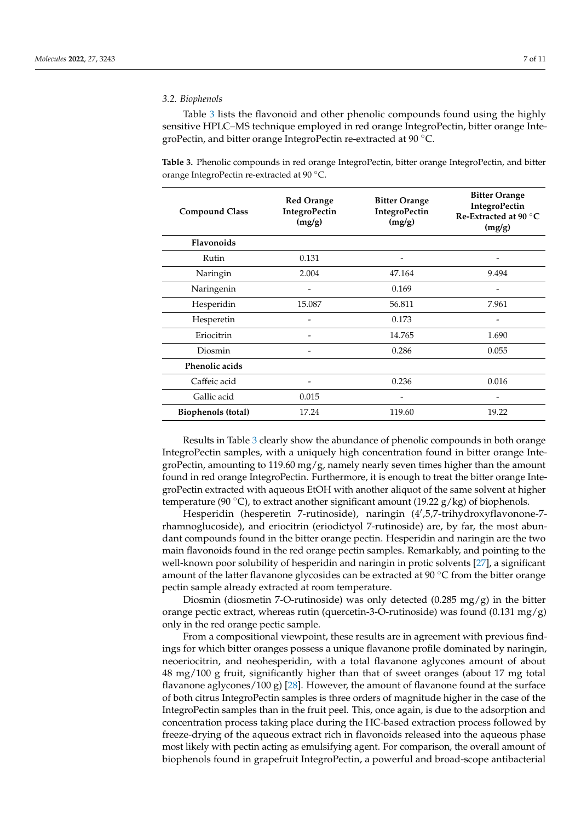#### *3.2. Biophenols*

Table [3](#page-6-0) lists the flavonoid and other phenolic compounds found using the highly sensitive HPLC–MS technique employed in red orange IntegroPectin, bitter orange IntegroPectin, and bitter orange IntegroPectin re-extracted at 90 ◦C.

| <b>Compound Class</b>     | <b>Red Orange</b><br>IntegroPectin<br>(mg/g) | <b>Bitter Orange</b><br>IntegroPectin<br>(mg/g) | <b>Bitter Orange</b><br>IntegroPectin<br>Re-Extracted at 90 °C<br>(mg/g) |
|---------------------------|----------------------------------------------|-------------------------------------------------|--------------------------------------------------------------------------|
| <b>Flavonoids</b>         |                                              |                                                 |                                                                          |
| Rutin                     | 0.131                                        |                                                 |                                                                          |
| Naringin                  | 2.004                                        | 47.164                                          | 9.494                                                                    |
| Naringenin                |                                              | 0.169                                           |                                                                          |
| Hesperidin                | 15.087                                       | 56.811                                          | 7.961                                                                    |
| Hesperetin                |                                              | 0.173                                           |                                                                          |
| Eriocitrin                |                                              | 14.765                                          | 1.690                                                                    |
| Diosmin                   |                                              | 0.286                                           | 0.055                                                                    |
| Phenolic acids            |                                              |                                                 |                                                                          |
| Caffeic acid              |                                              | 0.236                                           | 0.016                                                                    |
| Gallic acid               | 0.015                                        |                                                 |                                                                          |
| <b>Biophenols</b> (total) | 17.24                                        | 119.60                                          | 19.22                                                                    |

<span id="page-6-0"></span>**Table 3.** Phenolic compounds in red orange IntegroPectin, bitter orange IntegroPectin, and bitter orange IntegroPectin re-extracted at 90 ◦C.

Results in Table [3](#page-6-0) clearly show the abundance of phenolic compounds in both orange IntegroPectin samples, with a uniquely high concentration found in bitter orange IntegroPectin, amounting to 119.60 mg/g, namely nearly seven times higher than the amount found in red orange IntegroPectin. Furthermore, it is enough to treat the bitter orange IntegroPectin extracted with aqueous EtOH with another aliquot of the same solvent at higher temperature (90 °C), to extract another significant amount (19.22  $g/kg$ ) of biophenols.

Hesperidin (hesperetin 7-rutinoside), naringin (4',5,7-trihydroxyflavonone-7rhamnoglucoside), and eriocitrin (eriodictyol 7-rutinoside) are, by far, the most abundant compounds found in the bitter orange pectin. Hesperidin and naringin are the two main flavonoids found in the red orange pectin samples. Remarkably, and pointing to the well-known poor solubility of hesperidin and naringin in protic solvents [\[27\]](#page-10-14), a significant amount of the latter flavanone glycosides can be extracted at 90 ◦C from the bitter orange pectin sample already extracted at room temperature.

Diosmin (diosmetin 7-O-rutinoside) was only detected  $(0.285 \text{ mg/g})$  in the bitter orange pectic extract, whereas rutin (quercetin-3-O-rutinoside) was found (0.131 mg/g) only in the red orange pectic sample.

From a compositional viewpoint, these results are in agreement with previous findings for which bitter oranges possess a unique flavanone profile dominated by naringin, neoeriocitrin, and neohesperidin, with a total flavanone aglycones amount of about 48 mg/100 g fruit, significantly higher than that of sweet oranges (about 17 mg total flavanone aglycones/100 g) [\[28\]](#page-10-15). However, the amount of flavanone found at the surface of both citrus IntegroPectin samples is three orders of magnitude higher in the case of the IntegroPectin samples than in the fruit peel. This, once again, is due to the adsorption and concentration process taking place during the HC-based extraction process followed by freeze-drying of the aqueous extract rich in flavonoids released into the aqueous phase most likely with pectin acting as emulsifying agent. For comparison, the overall amount of biophenols found in grapefruit IntegroPectin, a powerful and broad-scope antibacterial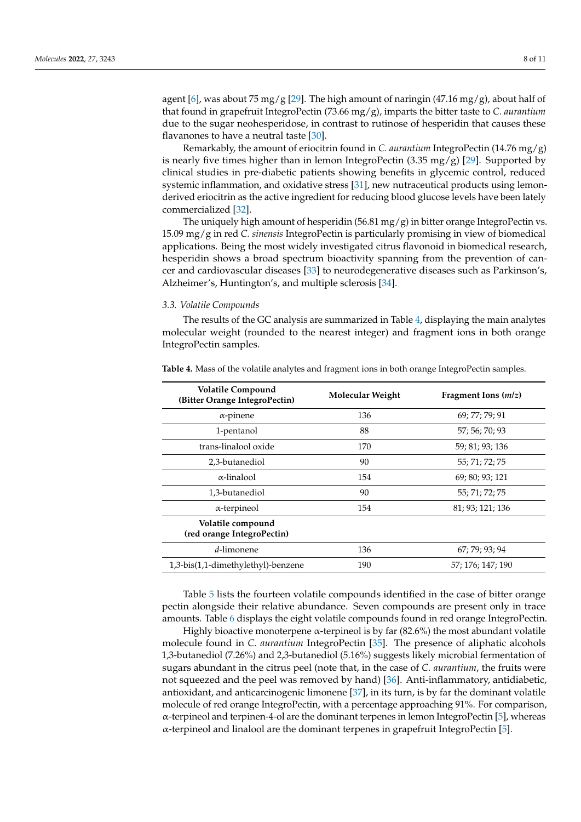agent [\[6\]](#page-9-5), was about 75 mg/g [\[29\]](#page-10-16). The high amount of naringin (47.16 mg/g), about half of that found in grapefruit IntegroPectin (73.66 mg/g), imparts the bitter taste to *C. aurantium* due to the sugar neohesperidose, in contrast to rutinose of hesperidin that causes these flavanones to have a neutral taste [\[30\]](#page-10-17).

Remarkably, the amount of eriocitrin found in *C. aurantium* IntegroPectin (14.76 mg/g) is nearly five times higher than in lemon IntegroPectin  $(3.35 \text{ mg/g})$  [\[29\]](#page-10-16). Supported by clinical studies in pre-diabetic patients showing benefits in glycemic control, reduced systemic inflammation, and oxidative stress [\[31\]](#page-10-18), new nutraceutical products using lemonderived eriocitrin as the active ingredient for reducing blood glucose levels have been lately commercialized [\[32\]](#page-10-19).

The uniquely high amount of hesperidin  $(56.81 \text{ mg/g})$  in bitter orange IntegroPectin vs. 15.09 mg/g in red *C. sinensis* IntegroPectin is particularly promising in view of biomedical applications. Being the most widely investigated citrus flavonoid in biomedical research, hesperidin shows a broad spectrum bioactivity spanning from the prevention of cancer and cardiovascular diseases [\[33\]](#page-10-20) to neurodegenerative diseases such as Parkinson's, Alzheimer's, Huntington's, and multiple sclerosis [\[34\]](#page-10-21).

#### *3.3. Volatile Compounds*

The results of the GC analysis are summarized in Table [4,](#page-7-0) displaying the main analytes molecular weight (rounded to the nearest integer) and fragment ions in both orange IntegroPectin samples.

| <b>Volatile Compound</b><br>(Bitter Orange IntegroPectin) | Molecular Weight | Fragment Ions (m/z) |
|-----------------------------------------------------------|------------------|---------------------|
| $\alpha$ -pinene                                          | 136              | 69; 77; 79; 91      |
| 1-pentanol                                                | 88               | 57; 56; 70; 93      |
| trans-linalool oxide                                      | 170              | 59; 81; 93; 136     |
| 2,3-butanediol                                            | 90               | 55; 71; 72; 75      |
| $\alpha$ -linalool                                        | 154              | 69; 80; 93; 121     |
| 1,3-butanediol                                            | 90               | 55; 71; 72; 75      |
| $\alpha$ -terpineol                                       | 154              | 81; 93; 121; 136    |
| Volatile compound<br>(red orange IntegroPectin)           |                  |                     |
| d-limonene                                                | 136              | 67; 79; 93; 94      |
| 1,3-bis(1,1-dimethylethyl)-benzene                        | 190              | 57; 176; 147; 190   |

<span id="page-7-0"></span>**Table 4.** Mass of the volatile analytes and fragment ions in both orange IntegroPectin samples.

Table [5](#page-8-0) lists the fourteen volatile compounds identified in the case of bitter orange pectin alongside their relative abundance. Seven compounds are present only in trace amounts. Table [6](#page-8-1) displays the eight volatile compounds found in red orange IntegroPectin.

Highly bioactive monoterpene  $\alpha$ -terpineol is by far (82.6%) the most abundant volatile molecule found in *C. aurantium* IntegroPectin [\[35\]](#page-10-22). The presence of aliphatic alcohols 1,3-butanediol (7.26%) and 2,3-butanediol (5.16%) suggests likely microbial fermentation of sugars abundant in the citrus peel (note that, in the case of *C. aurantium*, the fruits were not squeezed and the peel was removed by hand) [\[36\]](#page-10-23). Anti-inflammatory, antidiabetic, antioxidant, and anticarcinogenic limonene [\[37\]](#page-10-24), in its turn, is by far the dominant volatile molecule of red orange IntegroPectin, with a percentage approaching 91%. For comparison,  $α$ -terpineol and terpinen-4-ol are the dominant terpenes in lemon IntegroPectin [\[5\]](#page-9-4), whereas α-terpineol and linalool are the dominant terpenes in grapefruit IntegroPectin [\[5\]](#page-9-4).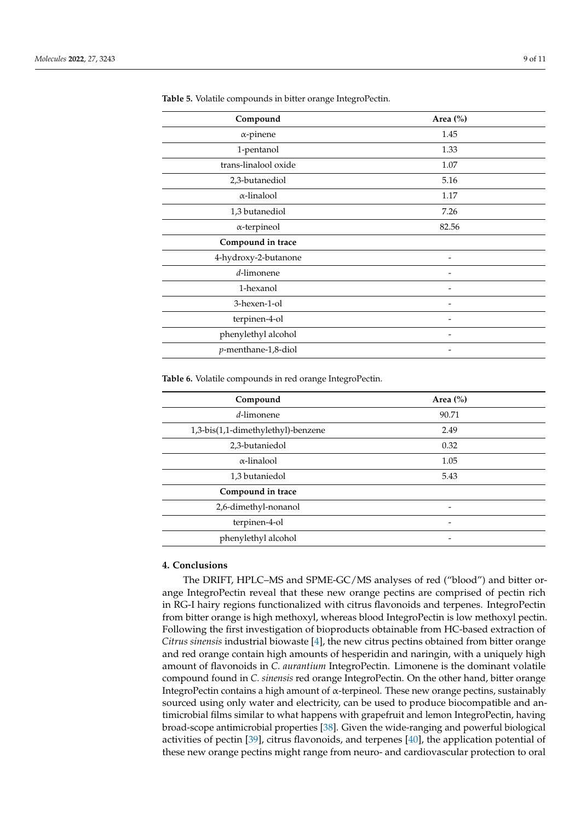| Compound               | Area (%) |
|------------------------|----------|
| $\alpha$ -pinene       | 1.45     |
| 1-pentanol             | 1.33     |
| trans-linalool oxide   | 1.07     |
| 2,3-butanediol         | 5.16     |
| $\alpha$ -linalool     | 1.17     |
| 1,3 butanediol         | 7.26     |
| $\alpha$ -terpineol    | 82.56    |
| Compound in trace      |          |
| 4-hydroxy-2-butanone   | -        |
| d-limonene             |          |
| 1-hexanol              |          |
| 3-hexen-1-ol           |          |
| terpinen-4-ol          |          |
| phenylethyl alcohol    |          |
| $p$ -menthane-1,8-diol |          |

<span id="page-8-0"></span>**Table 5.** Volatile compounds in bitter orange IntegroPectin.

<span id="page-8-1"></span>**Table 6.** Volatile compounds in red orange IntegroPectin.

| Compound                           | Area $(\% )$ |
|------------------------------------|--------------|
| d-limonene                         | 90.71        |
| 1,3-bis(1,1-dimethylethyl)-benzene | 2.49         |
| 2,3-butaniedol                     | 0.32         |
| $\alpha$ -linalool                 | 1.05         |
| 1,3 butaniedol                     | 5.43         |
| Compound in trace                  |              |
| 2,6-dimethyl-nonanol               |              |
| terpinen-4-ol                      |              |
| phenylethyl alcohol                | -            |
|                                    |              |

## **4. Conclusions**

The DRIFT, HPLC–MS and SPME-GC/MS analyses of red ("blood") and bitter orange IntegroPectin reveal that these new orange pectins are comprised of pectin rich in RG-I hairy regions functionalized with citrus flavonoids and terpenes. IntegroPectin from bitter orange is high methoxyl, whereas blood IntegroPectin is low methoxyl pectin. Following the first investigation of bioproducts obtainable from HC-based extraction of *Citrus sinensis* industrial biowaste [\[4\]](#page-9-3), the new citrus pectins obtained from bitter orange and red orange contain high amounts of hesperidin and naringin, with a uniquely high amount of flavonoids in *C. aurantium* IntegroPectin. Limonene is the dominant volatile compound found in *C. sinensis* red orange IntegroPectin. On the other hand, bitter orange IntegroPectin contains a high amount of α-terpineol. These new orange pectins, sustainably sourced using only water and electricity, can be used to produce biocompatible and antimicrobial films similar to what happens with grapefruit and lemon IntegroPectin, having broad-scope antimicrobial properties [\[38\]](#page-10-25). Given the wide-ranging and powerful biological activities of pectin [\[39\]](#page-10-26), citrus flavonoids, and terpenes [\[40\]](#page-10-27), the application potential of these new orange pectins might range from neuro- and cardiovascular protection to oral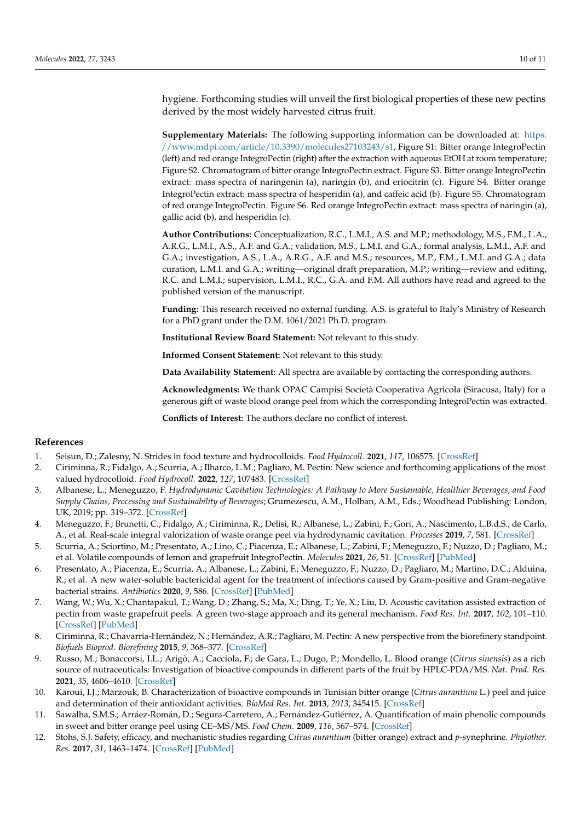hygiene. Forthcoming studies will unveil the first biological properties of these new pectins derived by the most widely harvested citrus fruit.

**Supplementary Materials:** The following supporting information can be downloaded at: [https:](https://www.mdpi.com/article/10.3390/molecules27103243/s1) [//www.mdpi.com/article/10.3390/molecules27103243/s1,](https://www.mdpi.com/article/10.3390/molecules27103243/s1) Figure S1: Bitter orange IntegroPectin (left) and red orange IntegroPectin (right) after the extraction with aqueous EtOH at room temperature; Figure S2. Chromatogram of bitter orange IntegroPectin extract. Figure S3. Bitter orange IntegroPectin extract: mass spectra of naringenin (a), naringin (b), and eriocitrin (c). Figure S4. Bitter orange IntegroPectin extract: mass spectra of hesperidin (a), and caffeic acid (b). Figure S5. Chromatogram of red orange IntegroPectin. Figure S6. Red orange IntegroPectin extract: mass spectra of naringin (a), gallic acid (b), and hesperidin (c).

**Author Contributions:** Conceptualization, R.C., L.M.I., A.S. and M.P.; methodology, M.S., F.M., L.A., A.R.G., L.M.I., A.S., A.F. and G.A.; validation, M.S., L.M.I. and G.A.; formal analysis, L.M.I., A.F. and G.A.; investigation, A.S., L.A., A.R.G., A.F. and M.S.; resources, M.P., F.M., L.M.I. and G.A.; data curation, L.M.I. and G.A.; writing—original draft preparation, M.P.; writing—review and editing, R.C. and L.M.I.; supervision, L.M.I., R.C., G.A. and F.M. All authors have read and agreed to the published version of the manuscript.

**Funding:** This research received no external funding. A.S. is grateful to Italy's Ministry of Research for a PhD grant under the D.M. 1061/2021 Ph.D. program.

**Institutional Review Board Statement:** Not relevant to this study.

**Informed Consent Statement:** Not relevant to this study.

**Data Availability Statement:** All spectra are available by contacting the corresponding authors.

**Acknowledgments:** We thank OPAC Campisi Società Cooperativa Agricola (Siracusa, Italy) for a generous gift of waste blood orange peel from which the corresponding IntegroPectin was extracted.

**Conflicts of Interest:** The authors declare no conflict of interest.

## **References**

- <span id="page-9-0"></span>1. Seisun, D.; Zalesny, N. Strides in food texture and hydrocolloids. *Food Hydrocoll.* **2021**, *117*, 106575. [\[CrossRef\]](http://doi.org/10.1016/j.foodhyd.2020.106575)
- <span id="page-9-1"></span>2. Ciriminna, R.; Fidalgo, A.; Scurria, A.; Ilharco, L.M.; Pagliaro, M. Pectin: New science and forthcoming applications of the most valued hydrocolloid. *Food Hydrocoll.* **2022**, *127*, 107483. [\[CrossRef\]](http://doi.org/10.1016/j.foodhyd.2022.107483)
- <span id="page-9-2"></span>3. Albanese, L.; Meneguzzo, F. *Hydrodynamic Cavitation Technologies: A Pathway to More Sustainable, Healthier Beverages, and Food Supply Chains, Processing and Sustainability of Beverages*; Grumezescu, A.M., Holban, A.M., Eds.; Woodhead Publishing: London, UK, 2019; pp. 319–372. [\[CrossRef\]](http://doi.org/10.1016/b978-0-12-815259-1.00010-0)
- <span id="page-9-3"></span>4. Meneguzzo, F.; Brunetti, C.; Fidalgo, A.; Ciriminna, R.; Delisi, R.; Albanese, L.; Zabini, F.; Gori, A.; Nascimento, L.B.d.S.; de Carlo, A.; et al. Real-scale integral valorization of waste orange peel via hydrodynamic cavitation. *Processes* **2019**, *7*, 581. [\[CrossRef\]](http://doi.org/10.3390/pr7090581)
- <span id="page-9-4"></span>5. Scurria, A.; Sciortino, M.; Presentato, A.; Lino, C.; Piacenza, E.; Albanese, L.; Zabini, F.; Meneguzzo, F.; Nuzzo, D.; Pagliaro, M.; et al. Volatile compounds of lemon and grapefruit IntegroPectin. *Molecules* **2021**, *26*, 51. [\[CrossRef\]](http://doi.org/10.3390/molecules26010051) [\[PubMed\]](http://www.ncbi.nlm.nih.gov/pubmed/33374383)
- <span id="page-9-5"></span>6. Presentato, A.; Piacenza, E.; Scurria, A.; Albanese, L.; Zabini, F.; Meneguzzo, F.; Nuzzo, D.; Pagliaro, M.; Martino, D.C.; Alduina, R.; et al. A new water-soluble bactericidal agent for the treatment of infections caused by Gram-positive and Gram-negative bacterial strains. *Antibiotics* **2020**, *9*, 586. [\[CrossRef\]](http://doi.org/10.3390/antibiotics9090586) [\[PubMed\]](http://www.ncbi.nlm.nih.gov/pubmed/32911640)
- <span id="page-9-6"></span>7. Wang, W.; Wu, X.; Chantapakul, T.; Wang, D.; Zhang, S.; Ma, X.; Ding, T.; Ye, X.; Liu, D. Acoustic cavitation assisted extraction of pectin from waste grapefruit peels: A green two-stage approach and its general mechanism. *Food Res. Int.* **2017**, *102*, 101–110. [\[CrossRef\]](http://doi.org/10.1016/j.foodres.2017.09.087) [\[PubMed\]](http://www.ncbi.nlm.nih.gov/pubmed/29195928)
- <span id="page-9-7"></span>8. Ciriminna, R.; Chavarría-Hernández, N.; Hernández, A.R.; Pagliaro, M. Pectin: A new perspective from the biorefinery standpoint. *Biofuels Bioprod. Biorefining* **2015**, *9*, 368–377. [\[CrossRef\]](http://doi.org/10.1002/bbb.1551)
- <span id="page-9-8"></span>9. Russo, M.; Bonaccorsi, I.L.; Arigò, A.; Cacciola, F.; de Gara, L.; Dugo, P.; Mondello, L. Blood orange (*Citrus sinensis*) as a rich source of nutraceuticals: Investigation of bioactive compounds in different parts of the fruit by HPLC-PDA/MS. *Nat. Prod. Res.* **2021**, *35*, 4606–4610. [\[CrossRef\]](http://doi.org/10.1080/14786419.2019.1696329)
- <span id="page-9-9"></span>10. Karoui, I.J.; Marzouk, B. Characterization of bioactive compounds in Tunisian bitter orange (*Citrus aurantium* L.) peel and juice and determination of their antioxidant activities. *BioMed Res. Int.* **2013**, *2013*, 345415. [\[CrossRef\]](http://doi.org/10.1155/2013/345415)
- <span id="page-9-10"></span>11. Sawalha, S.M.S.; Arráez-Román, D.; Segura-Carretero, A.; Fernández-Gutiérrez, A. Quantification of main phenolic compounds in sweet and bitter orange peel using CE–MS/MS. *Food Chem.* **2009**, *116*, 567–574. [\[CrossRef\]](http://doi.org/10.1016/j.foodchem.2009.03.003)
- <span id="page-9-11"></span>12. Stohs, S.J. Safety, efficacy, and mechanistic studies regarding *Citrus aurantium* (bitter orange) extract and *p*-synephrine. *Phytother. Res.* **2017**, *31*, 1463–1474. [\[CrossRef\]](http://doi.org/10.1002/ptr.5879) [\[PubMed\]](http://www.ncbi.nlm.nih.gov/pubmed/28752649)